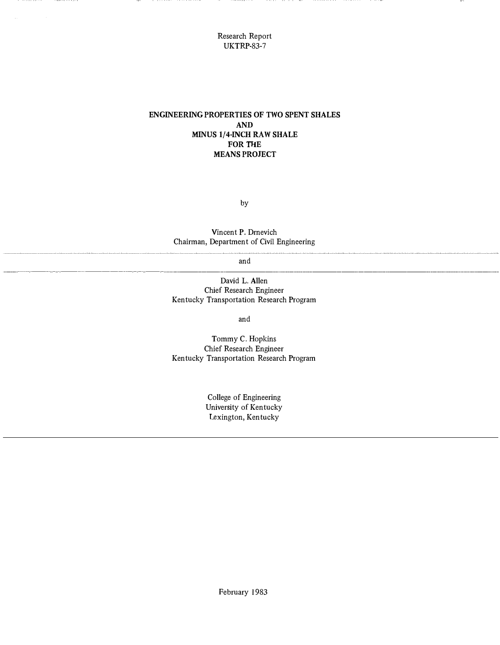Research Report UKTRP-83-7

# ENGINEERING PROPERTIES OF TWO SPENT SHALES AND MINUS 1/4-INCH RAW SHALE FOR THE MEANS PROJECT

by

Vincent P. Drnevich Chairman, Department of Civil Engineering

and

------- ---- - ---------------- - - -- ------------

David L. Allen Chief Research Engineer Kentucky Transportation Research Program

and

Tommy C. Hopkins Chief Research Engineer Kentucky Transportation Research Program

> College of Engineering University of Kentucky Lexington, Kentucky

> > February 1983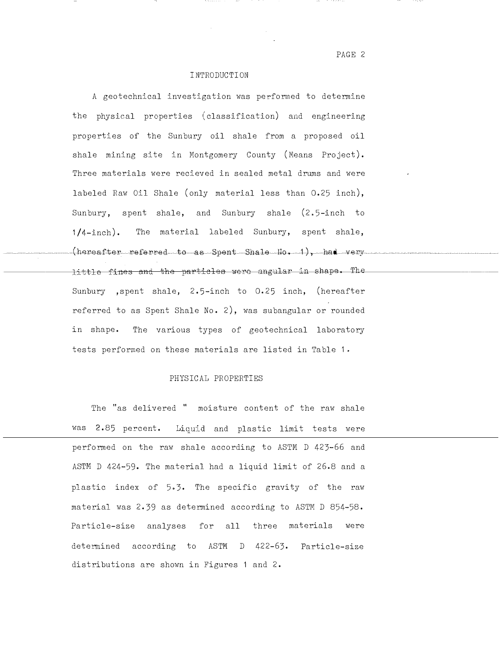PAGE 2

## INTRODUCTION

A geotechnical investigation was performed to determine the physical properties (classification) and engineering properties of the Sunbury oil shale from a proposed oil shale mining site in Montgomery County (Means Project). Three materials were recieved in sealed metal drums and were labeled Raw Oil Shale (only material less than 0.25 inch), Sunbury, spent shale, and Sunbury shale (2.5-inch to  $1/4$ -inch). The material labeled Sunbury, spent shale,  $(hereafter-referved-to-as-Spent-Shal-10-1)$ , had very little fines and the particles were angular in shape. The Sunbury , spent shale, 2.5-inch to 0.25 inch, (hereafter referred to as Spent Shale No. 2), was subangular or rounded in shape. The various types of geotechnical laboratory tests performed on these materials are listed in Table 1.

## PHYSICAL PROPERTIES

The "as delivered " moisture content of the raw shale was 2.85 percent. Liquid and plastic limit tests were performed on the raw shale according to ASTM D 423-66 and ASTM D 424-59. The material had a liquid limit of 26.8 and a plastic index of 5.3. The specific gravity of the raw material was 2.39 as determined according to ASTM D 854-58. Particle-size analyses for all three materials were determined according to ASTM D 422-63. Particle-size distributions are shown in Figures 1 and 2.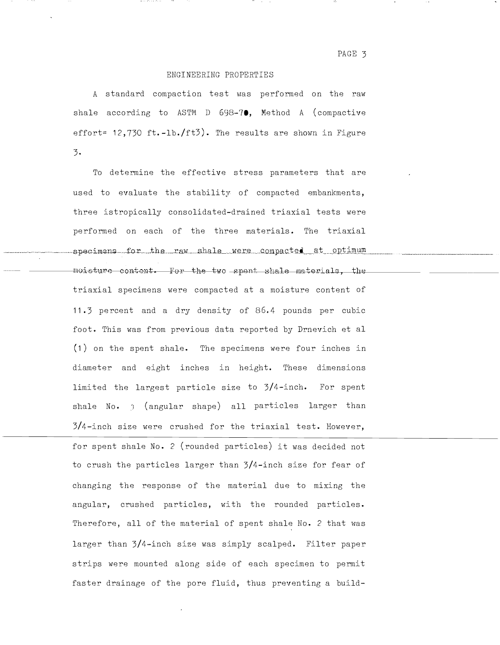#### ENGINEERING PROPERTIES

A standard compaction test was performed on the raw shale according to ASTM D  $698-7$ . Method A (compactive effort= 12,730 ft.-1b./ft3). The results are shown in Figure  $3.$ 

To determine the effective stress parameters that are used to evaluate the stability of compacted embankments, three istropically consolidated-drained triaxial tests were performed on each of the three materials. The triaxial specimens for the raw shale were compacted at optimum moisture content. For the two spont shale materials, the triaxial specimens were compacted at a moisture content of 11.3 percent and a dry density of 86.4 pounds per cubic foot. This was from previous data reported by Drnevich et al (1) on the spent shale. The specimens were four inches in diameter and eight inches in height. These dimensions limited the largest particle size to 3/4-inch. For spent shale No. 1 (angular shape) all particles larger than 3/4-inch size were crushed for the triaxial test. However,

for spent shale No. 2 (rounded particles) it was decided not to crush the particles larger than 3/4-inch size for fear of changing the response of the material due to mixing the angular, crushed particles, with the rounded particles. Therefore, all of the material of spent shale No. 2 that was larger than 3/4-inch size was simply scalped. Filter paper strips were mounted along side of each specimen to permit faster drainage of the pore fluid, thus preventing a build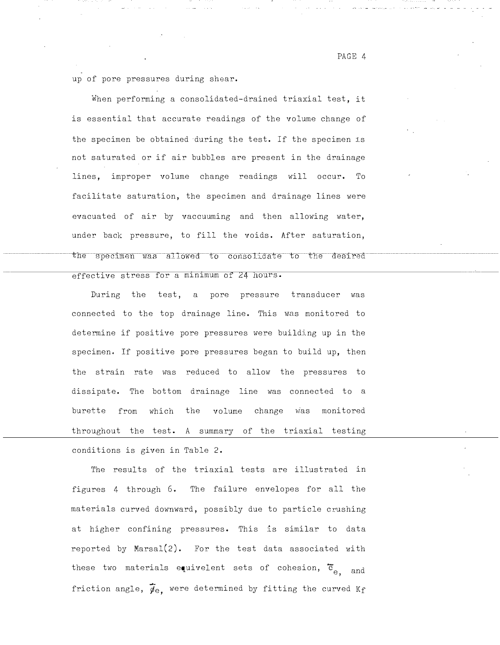up of pore pressures during shear.

When performing a consolidated-drained triaxial test, it is essential that accurate readings of the volume change of the specimen be obtained during the test. If the specimen is not saturated or if air bubbles are present in the drainage lines, improper volume change readings will occur. To facilitate saturation, the specimen and drainage lines were evacuated of air by vaccuuming and then allowing water, under back pressure, to fill the voids. After saturation, the specimen was allowed to consolidate to the desired

effective stress for a minimum of 24 hours.

During the test, a pore pressure transducer was connected to the top drainage line. This was monitored to determine if positive pore pressures were building up in the specimen. If positive pore pressures began to build up, then the strain rate was reduced to allow the pressures to dissipate. The bottom drainage line was connected to a burette from which the volume change was monitored throughout the test. A summary of the triaxial testing conditions is given in Table 2.

The results of the triaxial tests are illustrated in figures 4 through 6. The failure envelopes for all the materials curved downward, possibly due to particle crushing at higher confining pressures. This is similar to data reported by Marsal $(2)$ . For the test data associated with these two materials equivelent sets of cohesion,  $\tilde{c}_{e, \text{and}}$ friction angle,  $\vec{p}_e$ , were determined by fitting the curved Kf "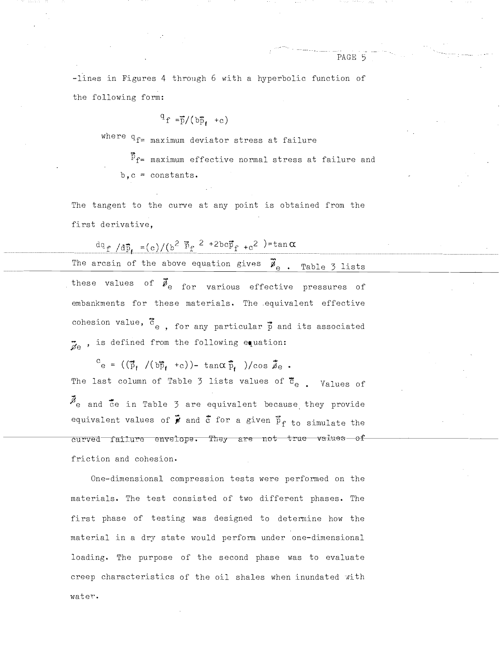$-$ lines in Figures 4 through 6 with a hyperbolic function of the following form:

$$
^{q}f = \overline{p}/(b\overline{p}_{f} + c)
$$

where  $q_{f=}$  maximum deviator stress at failure

 $\vec{P}_{f=}$  maximum effective normal stress at failure and  $b, c = constant$ s.

The tangent to the curve at any point is obtained from the first derivative,

2 +2bc $\vec{p}_{f^- + c}$ 2 )=tan $\alpha$ The arcsin of the above equation gives  $\vec{\mathscr{P}}_{e}$  . Table 3 lists these values of  $\vec{\ell}_{\mathrm{e}}$  for various effective pressures of embankments for these materials. The equivalent effective cohesion value,  $\bar{\text{c}}_{\text{e}}$  , for any particular  $\vec{\bar{\text{p}}}$  and its associated  $\ddot{a}$ , is defined from the following equation:

 $\mathbf{c}_{\mathrm{e}}$  = (( $\mathbf{\vec{p}}_{\mathrm{f}}$  /(b $\mathbf{\vec{p}}_{\mathrm{f}}$  +c))- tan $\alpha\,\mathbf{\vec{p}}_{\mathrm{f}}$  )/cos  $\mathbf{\vec{p}}_{\mathrm{e}}$ The last column of Table 3 lists values of  $\overline{c}_{e}$ . Values of  $\vec{\mathcal{B}}_{\text{e}}$  and  $\vec{\bar{c}}$ e in Table 3 are equivalent because they provide equivalent values of  $\vec{p}$  and  $\vec{c}$  for a given  $\tilde{p}_f$  to simulate the curved failure envelope. They are not true values of friction and cohesion.

One-dimensional compression tests were performed on the materials. The test consisted of two different phases. The first phase of testing was designed to determine how the material in a dry state would perform under one-dimensional loading. The purpose of the second phase was to evaluate creep characteristics of the oil shales when inundated with water.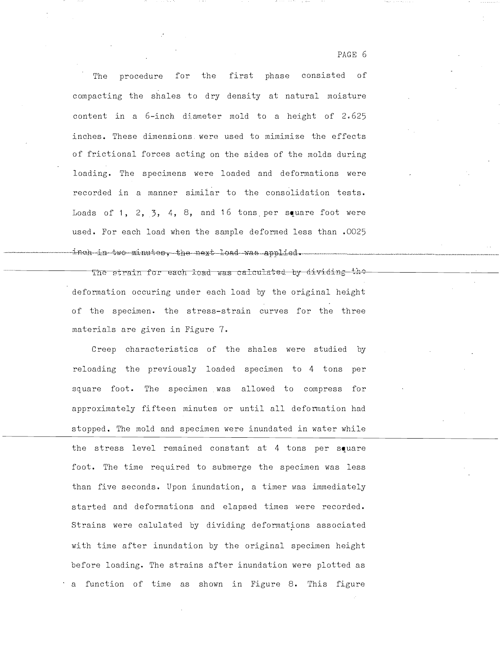The procedure for the first phase consisted of compacting the shales to dry density at natural moisture content in a 6-inch diameter mold to a height of 2.625 inches. These dimensions were used to mimimize the effects of frictional forces acting on the sides of the molds during loading. The specimens were loaded and deformations were recorded in a manner similar to the consolidation tests. Loads of 1, 2,  $\overline{3}$ , 4, 8, and 16 tons per square foot were used. For each load when the sample deformed less than .0025 inch in two minutes, the next load was applied.

The strain for each load was calculated by dividing the deformation occuring under each load by the original height of the specimen. the stress-strain curves for the three materials are given in Figure 7.

Creep characteristics of the shales were studied by reloading the previously loaded specimen to 4 tons per square foot. The specimen was allowed to compress for approximately fifteen minutes or until all deformation had stopped. The mold and specimen were inundated in water while the stress level remained constant at 4 tons per square foot. The time required to submerge the specimen was less than five seconds. Upon inundation, a timer was immediately started and deformations and elapsed times were recorded. Strains were calulated hy dividing deformations associated with time after inundation by the original specimen height before loading. The strains after inundation were plotted as a function of time as shown in Figure 8. This figure

PAGE 6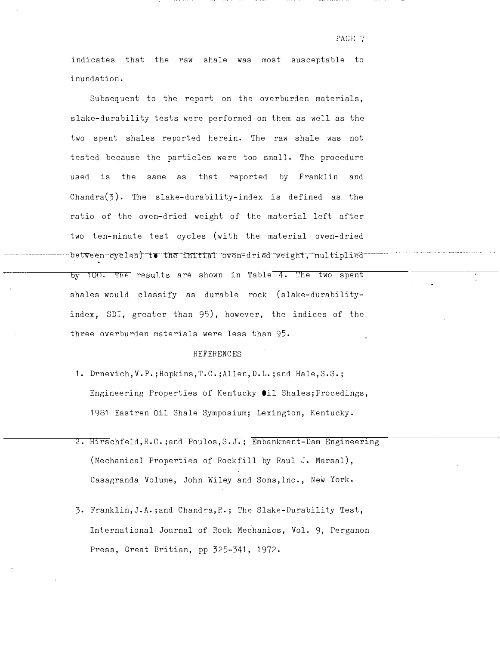PAGE 7

indicates that the raw shale was most susceptable to inundation.

Subsequent to the report on the overburden materials, slake-durability tests were performed on them as well as the two spent shales reported herein. The raw shale was not tested because the particles were too small. The procedure used is the same as that reported by Franklin and Chandra $(3)$ . The slake-durability-index is defined as the ratio of the oven-dried weight of the material left after two ten-minute test cycles (with the material oven-dried between cycles) to the initial oven-dried weight, multiplied by 100. The results are shown in Table 4. The two spent shales would classify as durable rock (slake-durabilityindex, SDI, greater than 95), however, the indices of the three overburden materials were less than 95.

### REFERENCES

- 1. Drnevich,V.P.;Hopkins,T.C.;Allen,D.L. ;and Hale,S.S.; Engineering Properties of Kentucky Oil Shales;Procedings, 1981 Eastren Oil Shale Symposium; Lexington, Kentucky.
- 2. Hirschfeld, R.C.;and Poulos, S.J.; Embankment-Dam Engineering (Mechanical Properties of Rockfill by Raul J. Marsal), Casagranda Volume, John Wiley and Sons,Inc., New York.
- 3. Franklin,J.A. ;and Chandra,R.; The Slake-Durability Test, International Journal of Rock Mechanics, Vol. 9, Perganon Press, Great Britian, pp 325-341, 1972.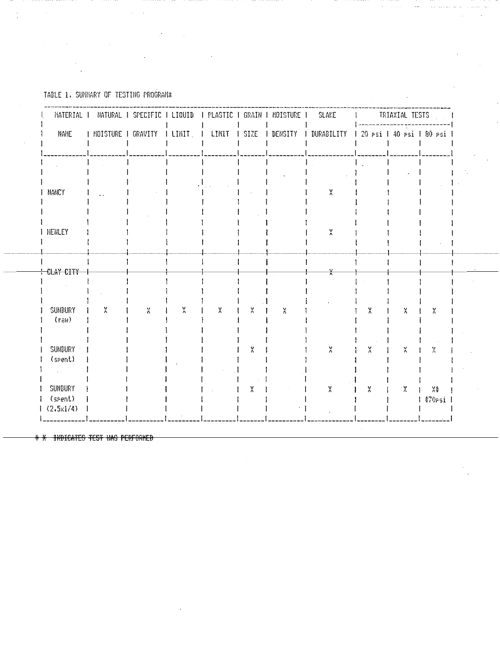TABLE 1. SUMMARY OF TESTING PROGRAM\*

 $\sim$  1.

 $\mathbf{r}$ 

 $\sim$ 

|                      | MATERIAL I NATURAL I SPECIFIC I LIQUID I PLASTIC I GRAIN I MOISTURE I |   |           |        |              |                      | SLAKE                                                  |           | <b>I RIAXIAL TESTS</b> |              |
|----------------------|-----------------------------------------------------------------------|---|-----------|--------|--------------|----------------------|--------------------------------------------------------|-----------|------------------------|--------------|
| NAME                 | I MOISTURE I GRAVITY I LIMIT   I                                      |   |           | LIMIT  | $\mathbf{1}$ |                      | SIZE   DENSITY   DURABILITY   20 PSi   40 PSi   80 PSi |           |                        |              |
|                      |                                                                       |   |           |        |              |                      |                                                        |           |                        |              |
|                      |                                                                       |   |           |        |              |                      |                                                        |           |                        |              |
| NANCY                |                                                                       |   |           |        |              |                      | X                                                      |           |                        |              |
|                      |                                                                       |   |           |        |              |                      |                                                        |           |                        |              |
|                      |                                                                       |   |           |        |              |                      |                                                        |           |                        |              |
| <b>I HENLEY</b>      |                                                                       |   |           |        |              |                      | $\frac{v}{\Lambda}$                                    |           |                        |              |
|                      |                                                                       |   |           |        |              |                      |                                                        |           |                        |              |
| CLAY CITY            |                                                                       |   |           |        |              |                      |                                                        |           |                        |              |
|                      |                                                                       |   |           |        |              |                      | $\frac{V}{\Lambda}$                                    |           |                        |              |
|                      |                                                                       |   |           |        |              |                      |                                                        |           |                        |              |
| SUNBURY              | χ                                                                     | X | $\lambda$ | $\chi$ | ×            | $_{\Lambda}^{\rm V}$ |                                                        | X         | χ                      | X            |
| $(r_{\delta} \mu)$   |                                                                       |   |           |        |              |                      |                                                        |           |                        |              |
| SUNBURY              |                                                                       |   |           |        | X            |                      | $\lambda'$                                             | X         | $\frac{v}{\Lambda}$    | X            |
| (srent)              |                                                                       |   |           |        |              |                      |                                                        |           |                        |              |
|                      |                                                                       |   |           |        |              |                      |                                                        |           |                        |              |
| SUNBURY              |                                                                       |   |           |        | χ            |                      | $\lambda$                                              | $\lambda$ | $\mathcal{X}^{\circ}$  | X            |
| (spent)<br>(2.5x1/4) |                                                                       |   |           |        |              |                      |                                                        |           |                        | $1470$ rsi   |
|                      |                                                                       |   |           |        |              |                      |                                                        |           |                        | . <i>. .</i> |

 $\bar{\alpha}$ 

 $\sim$  ,  $\sim$  sec .

\* X INDICATES TEST WAS PERFORMED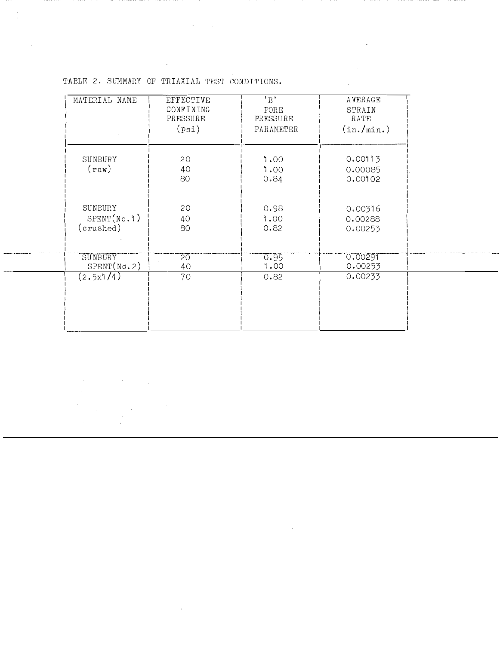| MATERIAL NAME                       | EFFECTIVE<br>CONFINING<br>PRESSURE<br>(psi) | $\overline{B}$<br>PORE<br>PRESSURE<br>PARAMETER | AVERAGE<br>STRAIN<br>RATE<br>(in./min.)  |  |
|-------------------------------------|---------------------------------------------|-------------------------------------------------|------------------------------------------|--|
| SUNBURY<br>$({\tt raw})$            | 20<br>40<br>80                              | 1.00<br>1.00                                    | 0.00113<br>0.00085                       |  |
| SUNBURY<br>SPENT(No.1)<br>(crushed) | 20<br>40<br>80                              | 0.84<br>0.98<br>1.00<br>0.82                    | 0.00102<br>0.00316<br>0.00288<br>0.00253 |  |
| SUNEURY<br>SPENT(No. 2)             | 20<br>40                                    | 0.95<br>1.00                                    | 0.00291<br>0.00253                       |  |
| (2.5x1/4)                           | 70                                          | 0.82                                            | 0.00233                                  |  |
|                                     |                                             |                                                 |                                          |  |

TABLE 2. SUMMARY OF TRIAXIAL TEST CONDITIONS.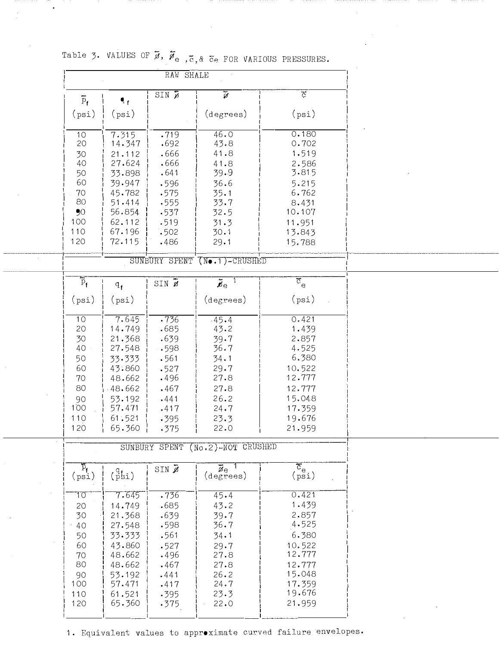|                                           |                    | RAW SHALE                             |                                            |                                          |
|-------------------------------------------|--------------------|---------------------------------------|--------------------------------------------|------------------------------------------|
| $\overline{p}_f$                          |                    | $SIN$ $\overline{p}$                  | $\overline{y}$                             | $\overline{C}$                           |
|                                           | $\mathbf{I}_{f}$   |                                       |                                            |                                          |
| (psi)                                     | (psi)              |                                       | (degrees)                                  | (psi)                                    |
| 10                                        | 7.315              | .719                                  | 46.0                                       | 0.180                                    |
| 20                                        | 14.347             | .692                                  | 43.8                                       | 0.702                                    |
| 30                                        | 21.112             | .666                                  | 41.8                                       | 1.519                                    |
| 40                                        | 27.624             | .666                                  | 41.8                                       | 2.586                                    |
| 50                                        | 33.898             | .641                                  | 39.9                                       | 3.815                                    |
| 60                                        | 39.947             | .596                                  | 36.6                                       | 5.215                                    |
| 70                                        | 45.782             | .575                                  | 35.1                                       | 6.762                                    |
| 80                                        | 51.414             | .555                                  | 33.7                                       | 8.431                                    |
| 90                                        | 56.854             | .537                                  | 32.5                                       | 10.107                                   |
| 100                                       | 62.112             | .519                                  | 31.3                                       | 11.951                                   |
| 110                                       | 67.196             | .502                                  | 30.1                                       | 13.843                                   |
| 120                                       | 72.115             | .486                                  | 29.1                                       | 15.788                                   |
|                                           |                    |                                       |                                            |                                          |
|                                           |                    |                                       | SUNBURY SPENT (No.1)-CRUSHED               |                                          |
| $\overline{\tilde{p}}_f$                  |                    | $\text{SIN}$ $\boldsymbol{\tilde{z}}$ | $\boldsymbol{\breve{\mathit{p}}}_\Theta$   | $\overline{\overline{c}}_{\overline{e}}$ |
|                                           | $q_{\mathbf{f}}$   |                                       |                                            |                                          |
| (psi)                                     | (psi)              |                                       | $(\text{degrees})$                         | (psi)                                    |
|                                           |                    |                                       |                                            |                                          |
| 10<br>20                                  | 7.645              | .736                                  | $-45.4$                                    | 0.421                                    |
| 30                                        | 14.749             | .685                                  | 43.2                                       | 1.439                                    |
|                                           | 21.368             | .639                                  | 39.7                                       | 2.857                                    |
| 40                                        | 27.548             | .598                                  | 36.7                                       | 4.525<br>6.380                           |
| 50<br>60                                  | 33.333             | .561                                  | 34.1                                       |                                          |
|                                           | 43.860             | .527                                  | 29.7                                       | 10.522<br>12.777                         |
| 70                                        | 48.662             | .496                                  | 27.8                                       |                                          |
| 80                                        | 48.662             | .467                                  | 27.8                                       | 12.777                                   |
| 90                                        | 53.192             | .441                                  | 26.2                                       | 15.048                                   |
| 100                                       | 57.471             | .417                                  | 24.7                                       | 17.359                                   |
| 110                                       | 61.521             | .395                                  | 23.3                                       | 19.676                                   |
| 120                                       | 165.360            | .375                                  | 22.0                                       | 21.959                                   |
|                                           |                    |                                       | SUNBURY SPENT (No.2)-NOT CRUSHED           |                                          |
|                                           |                    |                                       |                                            |                                          |
| $\tilde{\mathcal{V}}_{\text{f}}$<br>(psi) | $\binom{q}{p}$ si) | $SIN$ $\tilde{Z}$                     | $\vec{v}_\mathrm{e}$<br>$(\text{degrees})$ | $\overline{\tilde{c}_{e} \atop (psi)}$   |
|                                           |                    |                                       |                                            |                                          |
| 10                                        | 7.645              | .736                                  | 45.4                                       | 0.421                                    |
| 20                                        | 14.749             | .685                                  | 43.2                                       | 1.439                                    |
| 30                                        | 21.368             | .639                                  | 39.7                                       | 2.857                                    |
| 40                                        | 27.548             | .598                                  | 36.7                                       | 4.525                                    |
| 50                                        | 33.333             | .561                                  | 34.1                                       | 6.380                                    |
| 60                                        | 43.860             | .527                                  | 29.7                                       | 10.522                                   |
| 70                                        | 48.662             | .496                                  | 27.8                                       | 12.777                                   |
| 80                                        | 48.662             | .467                                  | 27.8                                       | 12.777                                   |
| 90                                        | 53.192             | .441                                  | 26.2                                       | 15.048                                   |
| 100                                       | 57.471             | .417                                  | 24.7                                       | 17.359                                   |
| 110                                       | 61.521             | .395                                  | 23.3                                       | 19.676                                   |
| 120                                       | 65.360             | .375                                  | 22.0                                       | 21.959                                   |
|                                           |                    |                                       |                                            |                                          |

Table 3. VALUES OF  $\overline{\mathscr{B}}$ ,  $\overline{\mathscr{B}}_{e}$ ,  $\overline{c}$ ,  $\alpha$   $\overline{c}$  FOR VARIOUS PRESSURES.

1. Equivalent values to approximate curved failure envelopes.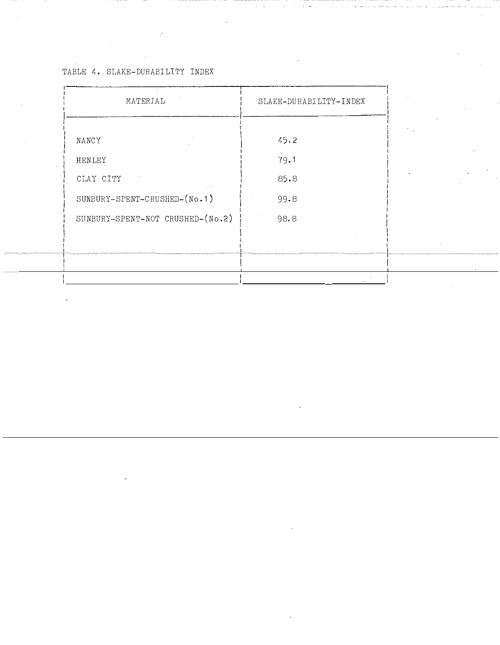TABLE 4. SLAKE-DURABILITY INDEX

| MATERIAL                         | SLAKE-DURABILITY-INDEX |
|----------------------------------|------------------------|
| NANCY                            | 45.2                   |
| HENLEY                           | 79.1                   |
| CLAY CITY                        | 85.8                   |
| SUNBURY-SPENT-CRUSHED-(No.1)     | 99.8                   |
| SUNEURY-SPENT-NOT CRUSHED-(No.2) | 98.8                   |
|                                  |                        |
|                                  |                        |
|                                  |                        |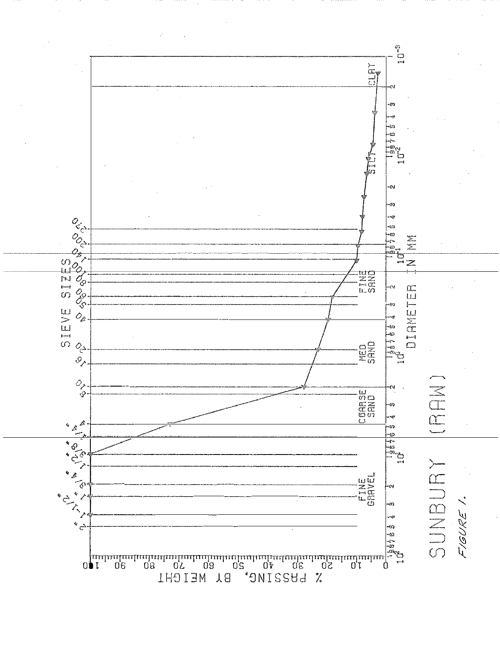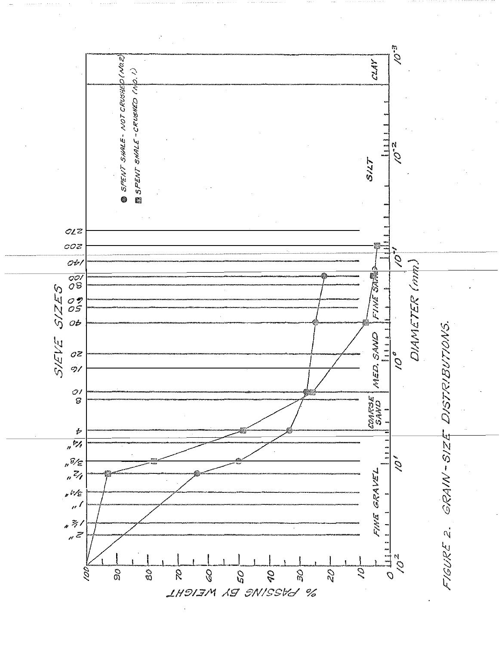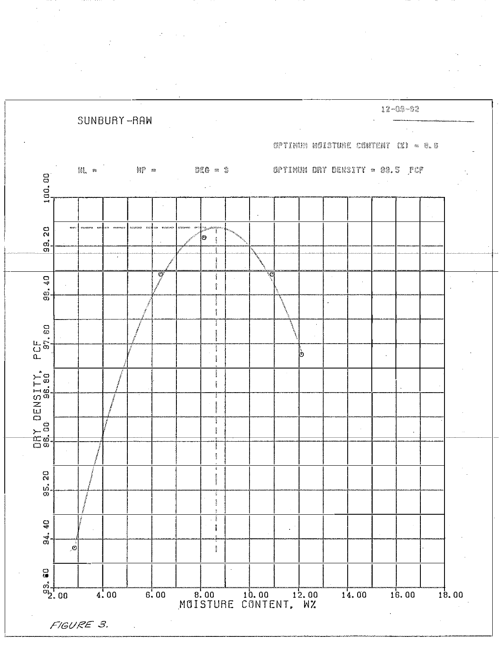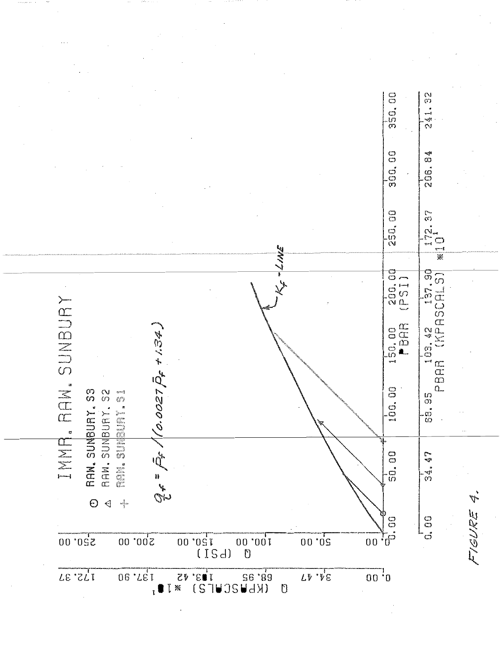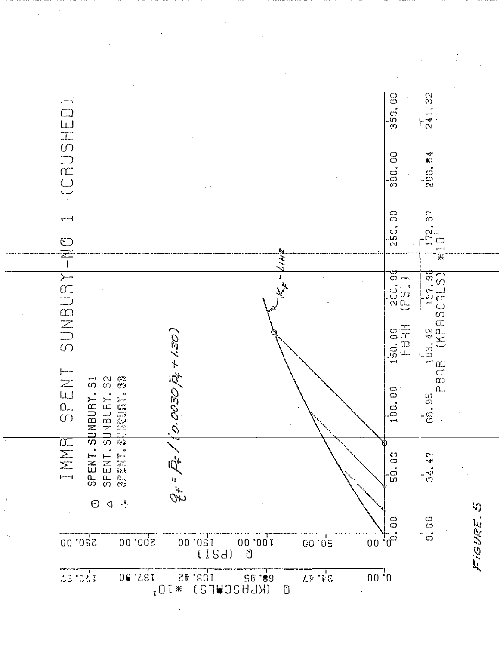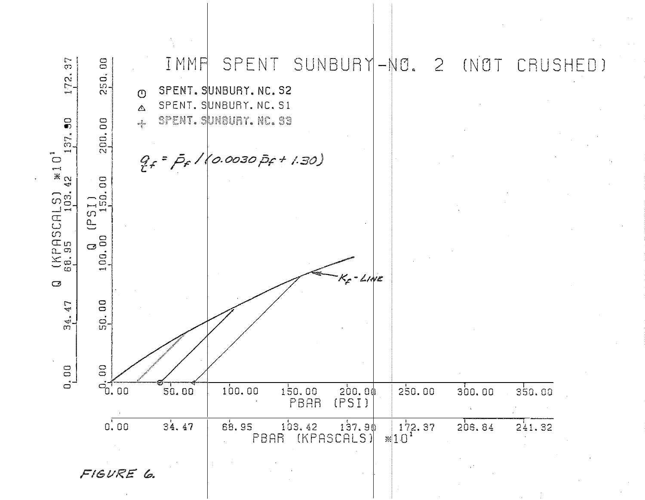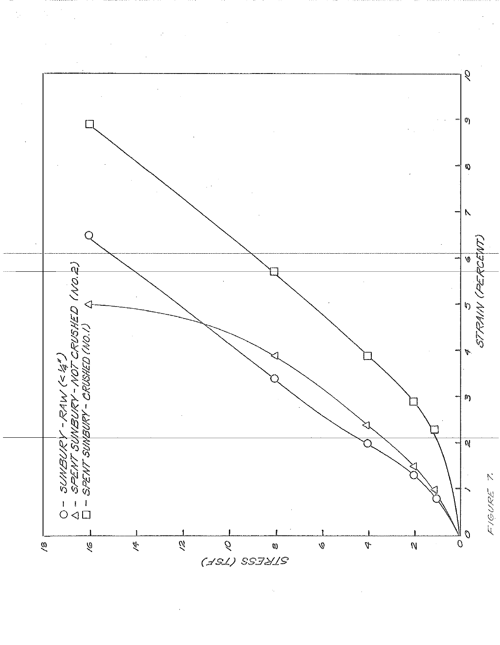